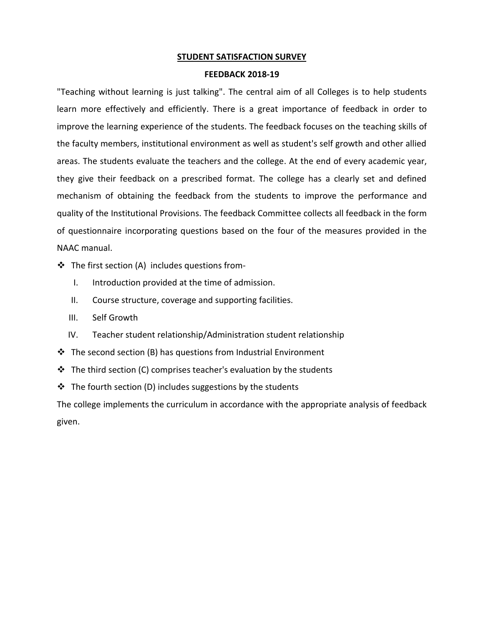## **STUDENT SATISFACTION SURVEY**

## **FEEDBACK 2018-19**

"Teaching without learning is just talking". The central aim of all Colleges is to help students learn more effectively and efficiently. There is a great importance of feedback in order to improve the learning experience of the students. The feedback focuses on the teaching skills of the faculty members, institutional environment as well as student's self growth and other allied areas. The students evaluate the teachers and the college. At the end of every academic year, they give their feedback on a prescribed format. The college has a clearly set and defined mechanism of obtaining the feedback from the students to improve the performance and quality of the Institutional Provisions. The feedback Committee collects all feedback in the form of questionnaire incorporating questions based on the four of the measures provided in the NAAC manual.

- $\cdot \cdot$  The first section (A) includes questions from-
	- I. Introduction provided at the time of admission.
	- II. Course structure, coverage and supporting facilities.
	- III. Self Growth
	- IV. Teacher student relationship/Administration student relationship
- $\cdot \cdot$  The second section (B) has questions from Industrial Environment
- $\cdot \cdot$  The third section (C) comprises teacher's evaluation by the students
- $\cdot \cdot$  The fourth section (D) includes suggestions by the students

The college implements the curriculum in accordance with the appropriate analysis of feedback given.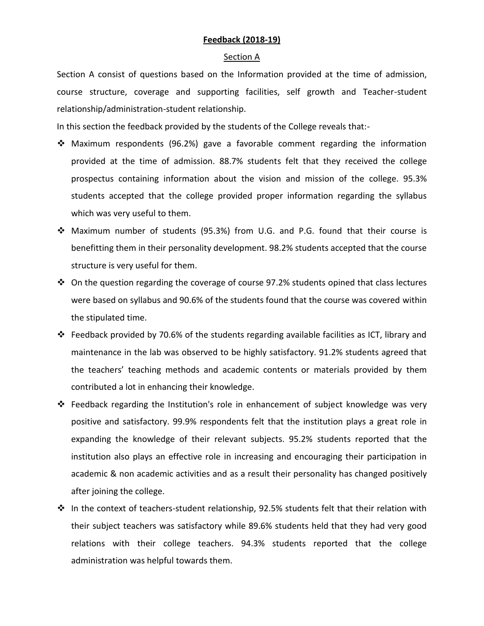# **Feedback (2018-19)**

### Section A

Section A consist of questions based on the Information provided at the time of admission, course structure, coverage and supporting facilities, self growth and Teacher-student relationship/administration-student relationship.

In this section the feedback provided by the students of the College reveals that:-

- Maximum respondents (96.2%) gave a favorable comment regarding the information provided at the time of admission. 88.7% students felt that they received the college prospectus containing information about the vision and mission of the college. 95.3% students accepted that the college provided proper information regarding the syllabus which was very useful to them.
- Maximum number of students (95.3%) from U.G. and P.G. found that their course is benefitting them in their personality development. 98.2% students accepted that the course structure is very useful for them.
- $\div$  On the question regarding the coverage of course 97.2% students opined that class lectures were based on syllabus and 90.6% of the students found that the course was covered within the stipulated time.
- Feedback provided by 70.6% of the students regarding available facilities as ICT, library and maintenance in the lab was observed to be highly satisfactory. 91.2% students agreed that the teachers' teaching methods and academic contents or materials provided by them contributed a lot in enhancing their knowledge.
- ❖ Feedback regarding the Institution's role in enhancement of subject knowledge was very positive and satisfactory. 99.9% respondents felt that the institution plays a great role in expanding the knowledge of their relevant subjects. 95.2% students reported that the institution also plays an effective role in increasing and encouraging their participation in academic & non academic activities and as a result their personality has changed positively after joining the college.
- $\cdot$  In the context of teachers-student relationship, 92.5% students felt that their relation with their subject teachers was satisfactory while 89.6% students held that they had very good relations with their college teachers. 94.3% students reported that the college administration was helpful towards them.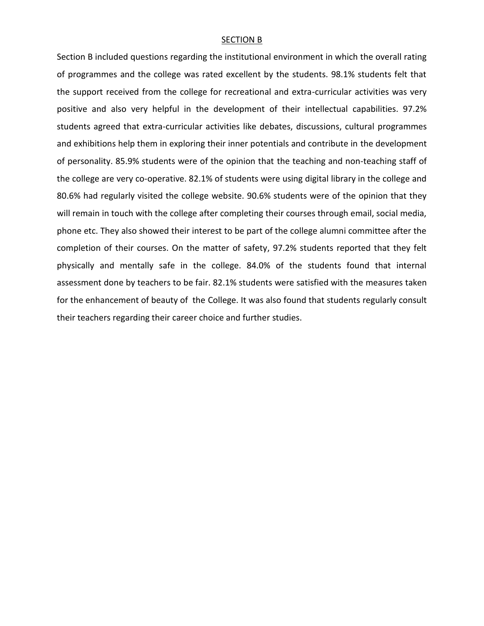#### SECTION B

Section B included questions regarding the institutional environment in which the overall rating of programmes and the college was rated excellent by the students. 98.1% students felt that the support received from the college for recreational and extra-curricular activities was very positive and also very helpful in the development of their intellectual capabilities. 97.2% students agreed that extra-curricular activities like debates, discussions, cultural programmes and exhibitions help them in exploring their inner potentials and contribute in the development of personality. 85.9% students were of the opinion that the teaching and non-teaching staff of the college are very co-operative. 82.1% of students were using digital library in the college and 80.6% had regularly visited the college website. 90.6% students were of the opinion that they will remain in touch with the college after completing their courses through email, social media, phone etc. They also showed their interest to be part of the college alumni committee after the completion of their courses. On the matter of safety, 97.2% students reported that they felt physically and mentally safe in the college. 84.0% of the students found that internal assessment done by teachers to be fair. 82.1% students were satisfied with the measures taken for the enhancement of beauty of the College. It was also found that students regularly consult their teachers regarding their career choice and further studies.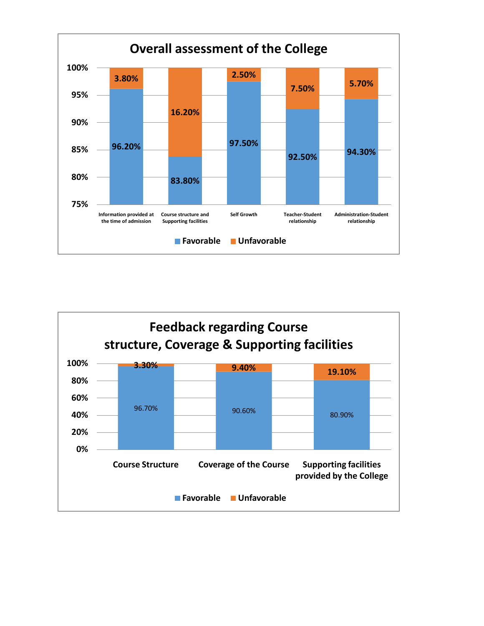